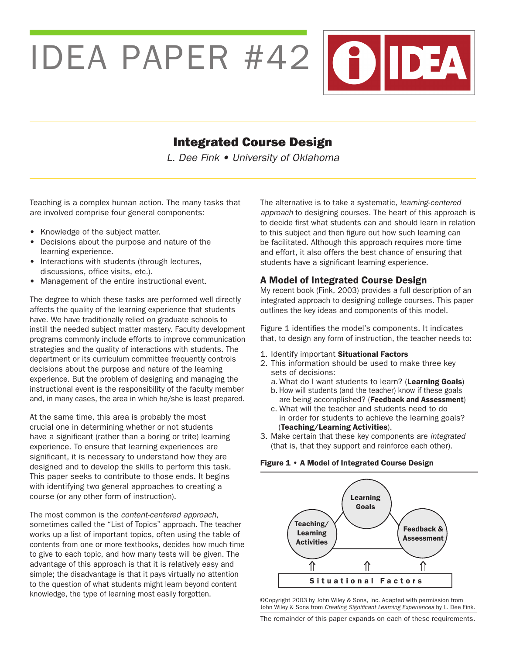IDEA PAPER #42 (?)IDEA

# Integrated Course Design

L. Dee Fink • University of Oklahoma

Teaching is a complex human action. The many tasks that are involved comprise four general components:

- Knowledge of the subject matter.
- Decisions about the purpose and nature of the learning experience.
- Interactions with students (through lectures, discussions, office visits, etc.).
- Management of the entire instructional event.

The degree to which these tasks are performed well directly affects the quality of the learning experience that students have. We have traditionally relied on graduate schools to instill the needed subject matter mastery. Faculty development programs commonly include efforts to improve communication strategies and the quality of interactions with students. The department or its curriculum committee frequently controls decisions about the purpose and nature of the learning experience. But the problem of designing and managing the instructional event is the responsibility of the faculty member and, in many cases, the area in which he/she is least prepared.

At the same time, this area is probably the most crucial one in determining whether or not students have a significant (rather than a boring or trite) learning experience. To ensure that learning experiences are significant, it is necessary to understand how they are designed and to develop the skills to perform this task. This paper seeks to contribute to those ends. It begins with identifying two general approaches to creating a course (or any other form of instruction).

The most common is the *content-centered approach*, sometimes called the "List of Topics" approach. The teacher works up a list of important topics, often using the table of contents from one or more textbooks, decides how much time to give to each topic, and how many tests will be given. The advantage of this approach is that it is relatively easy and simple; the disadvantage is that it pays virtually no attention to the question of what students might learn beyond content knowledge, the type of learning most easily forgotten.

The alternative is to take a systematic, *learning-centered approach* to designing courses. The heart of this approach is to decide first what students can and should learn in relation to this subject and then figure out how such learning can be facilitated. Although this approach requires more time and effort, it also offers the best chance of ensuring that students have a significant learning experience.

# A Model of Integrated Course Design

My recent book (Fink, 2003) provides a full description of an integrated approach to designing college courses. This paper outlines the key ideas and components of this model.

Figure 1 identifies the model's components. It indicates that, to design any form of instruction, the teacher needs to:

- 1. Identify important Situational Factors
- 2. This information should be used to make three key sets of decisions:
	- a. What do I want students to learn? (Learning Goals)
	- b. How will students (and the teacher) know if these goals are being accomplished? (Feedback and Assessment)
	- c. What will the teacher and students need to do in order for students to achieve the learning goals? (Teaching/Learning Activities).
- 3. Make certain that these key components are *integrated* (that is, that they support and reinforce each other).

Figure 1 • A Model of Integrated Course Design



©Copyright 2003 by John Wiley & Sons, Inc. Adapted with permission from John Wiley & Sons from Creating Significant Learning Experiences by L. Dee Fink.

The remainder of this paper expands on each of these requirements.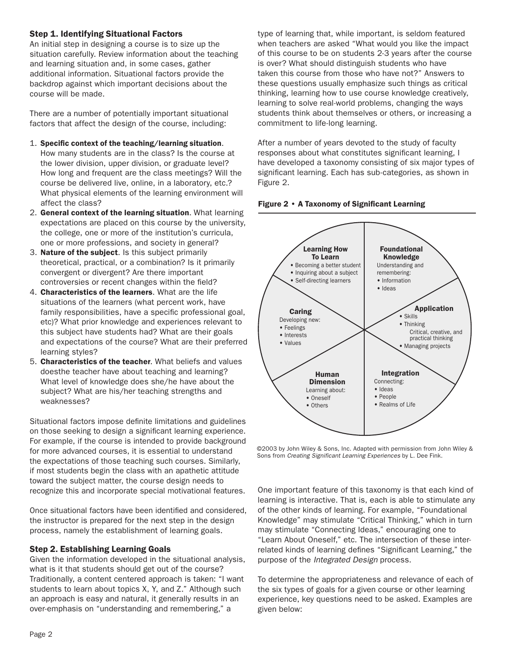## Step 1. Identifying Situational Factors

An initial step in designing a course is to size up the situation carefully. Review information about the teaching and learning situation and, in some cases, gather additional information. Situational factors provide the backdrop against which important decisions about the course will be made.

There are a number of potentially important situational factors that affect the design of the course, including:

- 1. Specific context of the teaching/learning situation. How many students are in the class? Is the course at the lower division, upper division, or graduate level? How long and frequent are the class meetings? Will the course be delivered live, online, in a laboratory, etc.? What physical elements of the learning environment will affect the class?
- 2. General context of the learning situation. What learning expectations are placed on this course by the university, the college, one or more of the institution's curricula, one or more professions, and society in general?
- 3. **Nature of the subject**. Is this subject primarily theoretical, practical, or a combination? Is it primarily convergent or divergent? Are there important controversies or recent changes within the field?
- 4. Characteristics of the learners. What are the life situations of the learners (what percent work, have family responsibilities, have a specific professional goal, etc)? What prior knowledge and experiences relevant to this subject have students had? What are their goals and expectations of the course? What are their preferred learning styles?
- 5. Characteristics of the teacher. What beliefs and values doesthe teacher have about teaching and learning? What level of knowledge does she/he have about the subject? What are his/her teaching strengths and weaknesses?

Situational factors impose definite limitations and guidelines on those seeking to design a significant learning experience. For example, if the course is intended to provide background for more advanced courses, it is essential to understand the expectations of those teaching such courses. Similarly, if most students begin the class with an apathetic attitude toward the subject matter, the course design needs to recognize this and incorporate special motivational features.

Once situational factors have been identified and considered, the instructor is prepared for the next step in the design process, namely the establishment of learning goals.

#### Step 2. Establishing Learning Goals

Given the information developed in the situational analysis, what is it that students should get out of the course? Traditionally, a content centered approach is taken: "I want students to learn about topics X, Y, and Z." Although such an approach is easy and natural, it generally results in an over-emphasis on "understanding and remembering," a

type of learning that, while important, is seldom featured when teachers are asked "What would you like the impact of this course to be on students 2-3 years after the course is over? What should distinguish students who have taken this course from those who have not?" Answers to these questions usually emphasize such things as critical thinking, learning how to use course knowledge creatively, learning to solve real-world problems, changing the ways students think about themselves or others, or increasing a commitment to life-long learning.

After a number of years devoted to the study of faculty responses about what constitutes significant learning, I have developed a taxonomy consisting of six major types of significant learning. Each has sub-categories, as shown in Figure 2.





©2003 by John Wiley & Sons, Inc. Adapted with permission from John Wiley & Sons from Creating Significant Learning Experiences by L. Dee Fink.

One important feature of this taxonomy is that each kind of learning is interactive. That is, each is able to stimulate any of the other kinds of learning. For example, "Foundational Knowledge" may stimulate "Critical Thinking," which in turn may stimulate "Connecting Ideas," encouraging one to "Learn About Oneself," etc. The intersection of these interrelated kinds of learning defines "Significant Learning," the purpose of the Integrated Design process.

To determine the appropriateness and relevance of each of the six types of goals for a given course or other learning experience, key questions need to be asked. Examples are given below: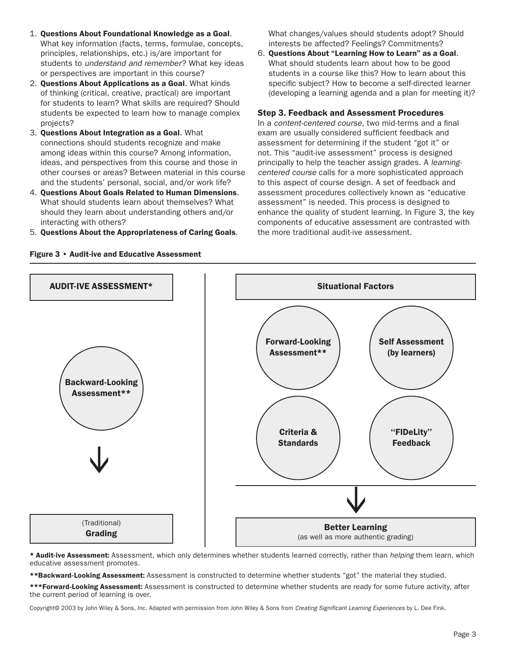- 1. Questions About Foundational Knowledge as a Goal. What key information (facts, terms, formulae, concepts, principles, relationships, etc.) is/are important for students to understand and remember? What key ideas or perspectives are important in this course?
- 2. Questions About Applications as a Goal. What kinds of thinking (critical, creative, practical) are important for students to learn? What skills are required? Should students be expected to learn how to manage complex projects?
- 3. Questions About Integration as a Goal. What connections should students recognize and make among ideas within this course? Among information, ideas, and perspectives from this course and those in other courses or areas? Between material in this course and the students' personal, social, and/or work life?
- 4. Questions About Goals Related to Human Dimensions. What should students learn about themselves? What should they learn about understanding others and/or interacting with others?
- 5. Questions About the Appropriateness of Caring Goals.

Figure 3 • Audit-ive and Educative Assessment

 What changes/values should students adopt? Should interests be affected? Feelings? Commitments?

6. Questions About "Learning How to Learn" as a Goal. What should students learn about how to be good students in a course like this? How to learn about this specific subject? How to become a self-directed learner (developing a learning agenda and a plan for meeting it)?

#### Step 3. Feedback and Assessment Procedures

In a content-centered course, two mid-terms and a final exam are usually considered sufficient feedback and assessment for determining if the student "got it" or not. This "audit-ive assessment" process is designed principally to help the teacher assign grades. A *learning*centered course calls for a more sophisticated approach to this aspect of course design. A set of feedback and assessment procedures collectively known as "educative assessment" is needed. This process is designed to enhance the quality of student learning. In Figure 3, the key components of educative assessment are contrasted with the more traditional audit-ive assessment.



\* Audit-ive Assessment: Assessment, which only determines whether students learned correctly, rather than *helping* them learn, which educative assessment promotes.

\*\*Backward-Looking Assessment: Assessment is constructed to determine whether students "got" the material they studied.

\*\*\*Forward-Looking Assessment: Assessment is constructed to determine whether students are ready for some future activity, after the current period of learning is over.

Copyright© 2003 by John Wiley & Sons, Inc. Adapted with permission from John Wiley & Sons from Creating Significant Learning Experiences by L. Dee Fink.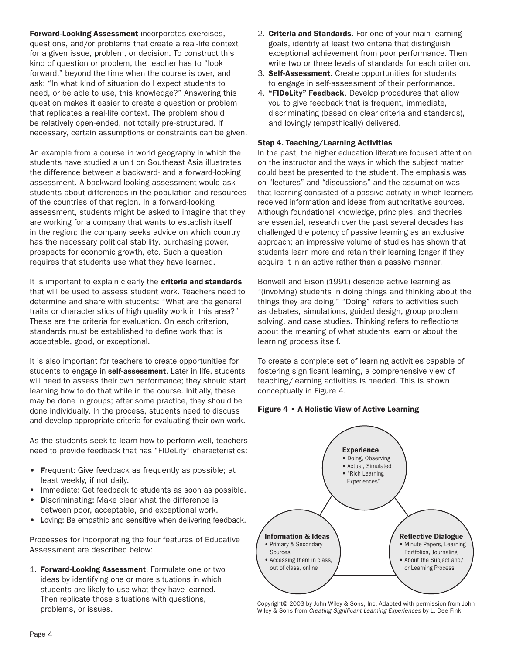Forward-Looking Assessment incorporates exercises, questions, and/or problems that create a real-life context for a given issue, problem, or decision. To construct this kind of question or problem, the teacher has to "look forward," beyond the time when the course is over, and ask: "In what kind of situation do I expect students to need, or be able to use, this knowledge?" Answering this question makes it easier to create a question or problem that replicates a real-life context. The problem should be relatively open-ended, not totally pre-structured. If necessary, certain assumptions or constraints can be given.

An example from a course in world geography in which the students have studied a unit on Southeast Asia illustrates the difference between a backward- and a forward-looking assessment. A backward-looking assessment would ask students about differences in the population and resources of the countries of that region. In a forward-looking assessment, students might be asked to imagine that they are working for a company that wants to establish itself in the region; the company seeks advice on which country has the necessary political stability, purchasing power, prospects for economic growth, etc. Such a question requires that students use what they have learned.

It is important to explain clearly the criteria and standards that will be used to assess student work. Teachers need to determine and share with students: "What are the general traits or characteristics of high quality work in this area?" These are the criteria for evaluation. On each criterion, standards must be established to define work that is acceptable, good, or exceptional.

It is also important for teachers to create opportunities for students to engage in self-assessment. Later in life, students will need to assess their own performance; they should start learning how to do that while in the course. Initially, these may be done in groups; after some practice, they should be done individually. In the process, students need to discuss and develop appropriate criteria for evaluating their own work.

As the students seek to learn how to perform well, teachers need to provide feedback that has "FIDeLity" characteristics:

- Frequent: Give feedback as frequently as possible; at least weekly, if not daily.
- Immediate: Get feedback to students as soon as possible.
- **Discriminating: Make clear what the difference is**
- between poor, acceptable, and exceptional work. • Loving: Be empathic and sensitive when delivering feedback.

Processes for incorporating the four features of Educative Assessment are described below:

1. Forward-Looking Assessment. Formulate one or two ideas by identifying one or more situations in which students are likely to use what they have learned. Then replicate those situations with questions, problems, or issues.

- 2. Criteria and Standards. For one of your main learning goals, identify at least two criteria that distinguish exceptional achievement from poor performance. Then write two or three levels of standards for each criterion.
- 3. Self-Assessment. Create opportunities for students to engage in self-assessment of their performance.
- 4. "FIDeLity" Feedback. Develop procedures that allow you to give feedback that is frequent, immediate, discriminating (based on clear criteria and standards), and lovingly (empathically) delivered.

#### Step 4. Teaching/Learning Activities

In the past, the higher education literature focused attention on the instructor and the ways in which the subject matter could best be presented to the student. The emphasis was on "lectures" and "discussions" and the assumption was that learning consisted of a passive activity in which learners received information and ideas from authoritative sources. Although foundational knowledge, principles, and theories are essential, research over the past several decades has challenged the potency of passive learning as an exclusive approach; an impressive volume of studies has shown that students learn more and retain their learning longer if they acquire it in an active rather than a passive manner.

Bonwell and Eison (1991) describe active learning as "(involving) students in doing things and thinking about the things they are doing." "Doing" refers to activities such as debates, simulations, guided design, group problem solving, and case studies. Thinking refers to reflections about the meaning of what students learn or about the learning process itself.

To create a complete set of learning activities capable of fostering significant learning, a comprehensive view of teaching/learning activities is needed. This is shown conceptually in Figure 4.

#### Figure 4 • A Holistic View of Active Learning



Copyright© 2003 by John Wiley & Sons, Inc. Adapted with permission from John Wiley & Sons from Creating Significant Learning Experiences by L. Dee Fink.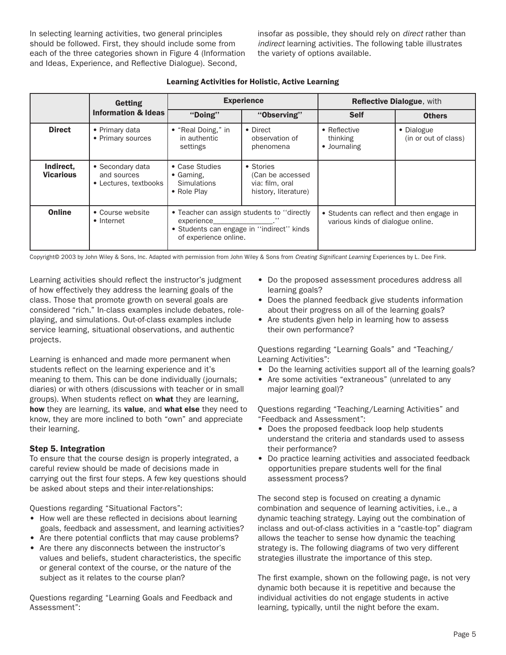In selecting learning activities, two general principles should be followed. First, they should include some from each of the three categories shown in Figure 4 (Information and Ideas, Experience, and Reflective Dialogue). Second,

insofar as possible, they should rely on *direct* rather than *indirect* learning activities. The following table illustrates the variety of options available.

|                               | Getting                                                  |                                                                                                                                 | <b>Experience</b>                                                        | <b>Reflective Dialogue, with</b>                                               |                                    |  |
|-------------------------------|----------------------------------------------------------|---------------------------------------------------------------------------------------------------------------------------------|--------------------------------------------------------------------------|--------------------------------------------------------------------------------|------------------------------------|--|
|                               | <b>Information &amp; Ideas</b>                           | "Doing"                                                                                                                         | "Observing"                                                              | <b>Self</b>                                                                    | <b>Others</b>                      |  |
| <b>Direct</b>                 | • Primary data<br>• Primary sources                      | • "Real Doing," in<br>in authentic<br>settings                                                                                  | • Direct<br>observation of<br>phenomena                                  | $\bullet$ Reflective<br>thinking<br>• Journaling                               | • Dialogue<br>(in or out of class) |  |
| Indirect,<br><b>Vicarious</b> | • Secondary data<br>and sources<br>• Lectures, textbooks | • Case Studies<br>$\bullet$ Gaming.<br><b>Simulations</b><br>• Role Play                                                        | • Stories<br>(Can be accessed<br>via: film, oral<br>history, literature) |                                                                                |                                    |  |
| Online                        | • Course website<br>• Internet                           | • Teacher can assign students to "directly"<br>experience<br>• Students can engage in "indirect" kinds<br>of experience online. |                                                                          | • Students can reflect and then engage in<br>various kinds of dialogue online. |                                    |  |

## Learning Activities for Holistic, Active Learning

Copyright© 2003 by John Wiley & Sons, Inc. Adapted with permission from John Wiley & Sons from Creating Significant Learning Experiences by L. Dee Fink.

Learning activities should reflect the instructor's judgment of how effectively they address the learning goals of the class. Those that promote growth on several goals are considered "rich." In-class examples include debates, roleplaying, and simulations. Out-of-class examples include service learning, situational observations, and authentic projects.

Learning is enhanced and made more permanent when students reflect on the learning experience and it's meaning to them. This can be done individually (journals; diaries) or with others (discussions with teacher or in small groups). When students reflect on what they are learning, how they are learning, its value, and what else they need to know, they are more inclined to both "own" and appreciate their learning.

#### Step 5. Integration

To ensure that the course design is properly integrated, a careful review should be made of decisions made in carrying out the first four steps. A few key questions should be asked about steps and their inter-relationships:

Questions regarding "Situational Factors":

- How well are these reflected in decisions about learning goals, feedback and assessment, and learning activities?
- Are there potential conflicts that may cause problems?
- Are there any disconnects between the instructor's values and beliefs, student characteristics, the specific or general context of the course, or the nature of the subject as it relates to the course plan?

Questions regarding "Learning Goals and Feedback and Assessment":

- • Do the proposed assessment procedures address all learning goals?
- Does the planned feedback give students information about their progress on all of the learning goals?
- Are students given help in learning how to assess their own performance?

Questions regarding "Learning Goals" and "Teaching/ Learning Activities":

- Do the learning activities support all of the learning goals?
- Are some activities "extraneous" (unrelated to any major learning goal)?

Questions regarding "Teaching/Learning Activities" and "Feedback and Assessment":

- Does the proposed feedback loop help students understand the criteria and standards used to assess their performance?
- • Do practice learning activities and associated feedback opportunities prepare students well for the final assessment process?

The second step is focused on creating a dynamic combination and sequence of learning activities, i.e., a dynamic teaching strategy. Laying out the combination of inclass and out-of-class activities in a "castle-top" diagram allows the teacher to sense how dynamic the teaching strategy is. The following diagrams of two very different strategies illustrate the importance of this step.

The first example, shown on the following page, is not very dynamic both because it is repetitive and because the individual activities do not engage students in active learning, typically, until the night before the exam.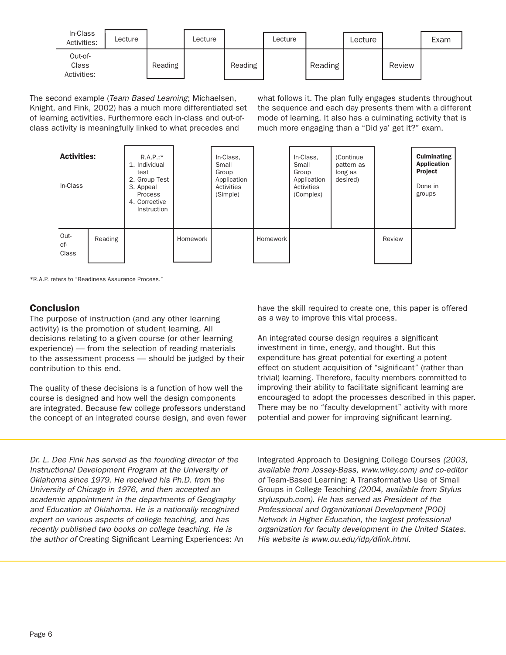| In-Class<br>Activities:         | Lecture |         | Lecture |         | Lecture |         | ∟ecture |        | Exam |
|---------------------------------|---------|---------|---------|---------|---------|---------|---------|--------|------|
| Out-of-<br>Class<br>Activities: |         | Reading |         | Reading |         | Reading |         | Review |      |

The second example (Team Based Learning; Michaelsen, Knight, and Fink, 2002) has a much more differentiated set of learning activities. Furthermore each in-class and out-ofclass activity is meaningfully linked to what precedes and

what follows it. The plan fully engages students throughout the sequence and each day presents them with a different mode of learning. It also has a culminating activity that is much more engaging than a "Did ya' get it?" exam.



\*R.A.P. refers to "Readiness Assurance Process."

## **Conclusion**

The purpose of instruction (and any other learning activity) is the promotion of student learning. All decisions relating to a given course (or other learning experience) — from the selection of reading materials to the assessment process — should be judged by their contribution to this end.

The quality of these decisions is a function of how well the course is designed and how well the design components are integrated. Because few college professors understand the concept of an integrated course design, and even fewer

Dr. L. Dee Fink has served as the founding director of the Instructional Development Program at the University of Oklahoma since 1979. He received his Ph.D. from the University of Chicago in 1976, and then accepted an academic appointment in the departments of Geography and Education at Oklahoma. He is a nationally recognized expert on various aspects of college teaching, and has recently published two books on college teaching. He is the author of Creating Significant Learning Experiences: An have the skill required to create one, this paper is offered as a way to improve this vital process.

An integrated course design requires a significant investment in time, energy, and thought. But this expenditure has great potential for exerting a potent effect on student acquisition of "significant" (rather than trivial) learning. Therefore, faculty members committed to improving their ability to facilitate significant learning are encouraged to adopt the processes described in this paper. There may be no "faculty development" activity with more potential and power for improving significant learning.

Integrated Approach to Designing College Courses (2003, available from Jossey-Bass, www.wiley.com) and co-editor of Team-Based Learning: A Transformative Use of Small Groups in College Teaching (2004, available from Stylus styluspub.com). He has served as President of the Professional and Organizational Development [POD] Network in Higher Education, the largest professional organization for faculty development in the United States. His website is [www.ou.edu/idp/dfink.html.](http://www.ou.edu/idp/dfink.html)